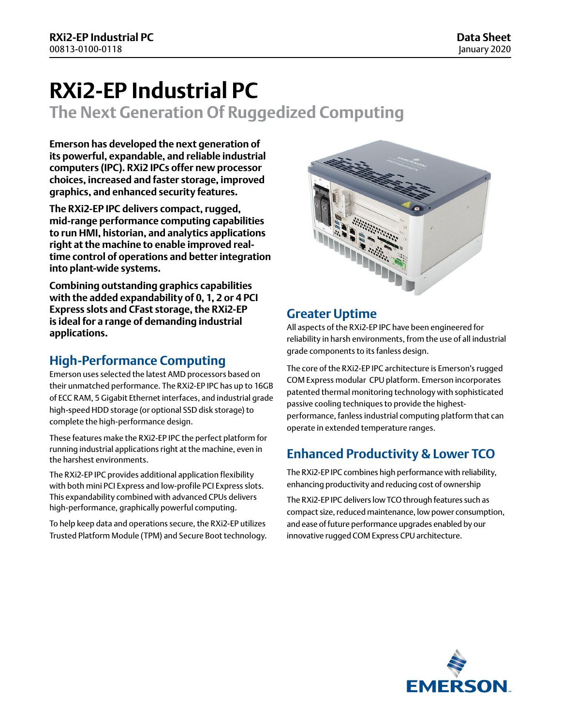# **RXi2-EP Industrial PC**

**The Next Generation Of Ruggedized Computing**

**Emerson has developed the next generation of its powerful, expandable, and reliable industrial computers (IPC). RXi2 IPCs offer new processor choices, increased and faster storage, improved graphics, and enhanced security features.**

**The RXi2-EP IPC delivers compact, rugged, mid-range performance computing capabilities to run HMI, historian, and analytics applications right at the machine to enable improved realtime control of operations and better integration into plant-wide systems.**

**Combining outstanding graphics capabilities with the added expandability of 0, 1, 2 or 4 PCI Express slots and CFast storage, the RXi2-EP is ideal for a range of demanding industrial applications.**

# **High-Performance Computing**

Emerson uses selected the latest AMD processors based on their unmatched performance. The RXi2-EP IPC has up to 16GB of ECC RAM, 5 Gigabit Ethernet interfaces, and industrial grade high-speed HDD storage (or optional SSD disk storage) to complete the high-performance design.

These features make the RXi2-EP IPC the perfect platform for running industrial applications right at the machine, even in the harshest environments.

The RXi2-EP IPC provides additional application flexibility with both mini PCI Express and low-profile PCI Express slots. This expandability combined with advanced CPUs delivers high-performance, graphically powerful computing.

To help keep data and operations secure, the RXi2-EP utilizes Trusted Platform Module (TPM) and Secure Boot technology.



# **Greater Uptime**

All aspects of the RXi2-EP IPC have been engineered for reliability in harsh environments, from the use of all industrial grade components to its fanless design.

The core of the RXi2-EP IPC architecture is Emerson's rugged COM Express modular CPU platform. Emerson incorporates patented thermal monitoring technology with sophisticated passive cooling techniques to provide the highestperformance, fanless industrial computing platform that can operate in extended temperature ranges.

# **Enhanced Productivity & Lower TCO**

The RXi2-EP IPC combines high performance with reliability, enhancing productivity and reducing cost of ownership

The RXi2-EP IPC delivers low TCO through features such as compact size, reduced maintenance, low power consumption, and ease of future performance upgrades enabled by our innovative rugged COM Express CPU architecture.

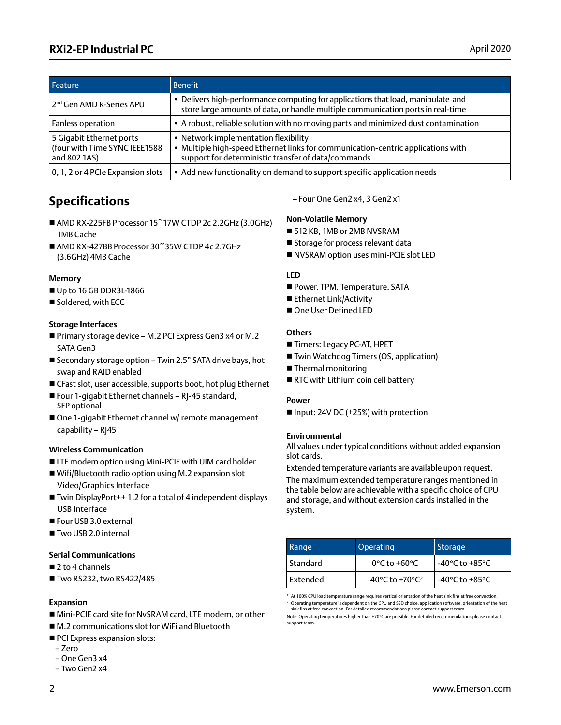| Feature                                                                   | <b>Benefit</b>                                                                                                                                                                |
|---------------------------------------------------------------------------|-------------------------------------------------------------------------------------------------------------------------------------------------------------------------------|
| 2 <sup>nd</sup> Gen AMD R-Series APU                                      | • Delivers high-performance computing for applications that load, manipulate and<br>store large amounts of data, or handle multiple communication ports in real-time          |
| Fanless operation                                                         | • A robust, reliable solution with no moving parts and minimized dust contamination                                                                                           |
| 5 Gigabit Ethernet ports<br>(four with Time SYNC IEEE1588<br>and 802.1AS) | • Network implementation flexibility<br>Multiple high-speed Ethernet links for communication-centric applications with<br>support for deterministic transfer of data/commands |
| $\vert$ 0, 1, 2 or 4 PCIe Expansion slots                                 | Add new functionality on demand to support specific application needs                                                                                                         |

# **Specifications**

- AMD RX-225FB Processor 15~17W CTDP 2c 2.2GHz (3.0GHz) 1MB Cache
- AMD RX-427BB Processor 30~35W CTDP 4c 2.7GHz (3.6GHz) 4MB Cache

## **Memory**

- Up to 16 GB DDR3L-1866
- Soldered, with ECC

## **Storage Interfaces**

- Primary storage device M.2 PCI Express Gen3 x4 or M.2 SATA Gen3
- Secondary storage option Twin 2.5" SATA drive bays, hot swap and RAID enabled
- CFast slot, user accessible, supports boot, hot plug Ethernet
- $\blacksquare$  Four 1-gigabit Ethernet channels RJ-45 standard, SFP optional
- $\blacksquare$  One 1-gigabit Ethernet channel w/ remote management capability – RJ45

#### **Wireless Communication**

- LTE modem option using Mini-PCIE with UIM card holder
- Wifi/Bluetooth radio option using M.2 expansion slot Video/Graphics Interface
- Twin DisplayPort++ 1.2 for a total of 4 independent displays USB Interface
- Four USB 3.0 external
- Two USB 2.0 internal

#### **Serial Communications**

- 2 to 4 channels
- Two RS232, two RS422/485

#### **Expansion**

- Mini-PCIE card site for NvSRAM card, LTE modem. or other
- M.2 communications slot for WiFi and Bluetooth
- PCI Express expansion slots:
- Zero
- One Gen3 x4
- Two Gen2 x4

## – Four One Gen2 x4, 3 Gen2 x1

## **Non-Volatile Memory**

- 512 KB, 1MB or 2MB NVSRAM
- Storage for process relevant data
- n NVSRAM option uses mini-PCIE slot LED

## **LED**

- Power, TPM, Temperature, SATA
- $\blacksquare$  Ethernet Link/Activity
- One User Defined LED

## **Others**

- Timers: Legacy PC-AT, HPET
- Twin Watchdog Timers (OS, application)
- $\blacksquare$  Thermal monitoring
- RTC with Lithium coin cell battery

#### **Power**

Input: 24V DC ( $\pm$ 25%) with protection

#### **Environmental**

All values under typical conditions without added expansion slot cards.

Extended temperature variants are available upon request. The maximum extended temperature ranges mentioned in the table below are achievable with a specific choice of CPU and storage, and without extension cards installed in the system.

| Range           | Operating                                       | Storage                            |
|-----------------|-------------------------------------------------|------------------------------------|
| Standard        | $0^{\circ}$ C to +60 $^{\circ}$ C               | $-40^{\circ}$ C to $+85^{\circ}$ C |
| <b>Fxtended</b> | $-40^{\circ}$ C to $+70^{\circ}$ C <sup>2</sup> | $-40^{\circ}$ C to $+85^{\circ}$ C |

<sup>1</sup> At 100% CPU load temperature range requires vertical orientation of the heat sink fins at free convection. <sup>2</sup> Operating temperature is dependent on the CPU and SSD choice, application software, orientation of the heat sink fins at free convection. For detailed recommendations please contact support te

Note: Operating temperatures higher than +70°C are possible. For detailed recommendations please contact support team.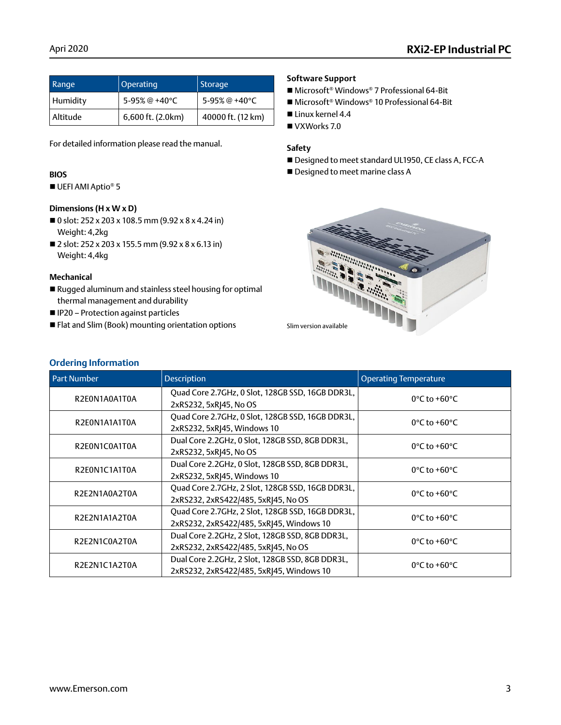| Range    | Operating         | <b>Storage</b>    |
|----------|-------------------|-------------------|
| Humidity | 5-95% @ +40 °C    | 5-95% @ +40 °C    |
| Altitude | 6,600 ft. (2.0km) | 40000 ft. (12 km) |

#### For detailed information please read the manual.

## **BIOS**

 $\blacksquare$  UEFI AMI Aptio® 5

## **Dimensions (H x W x D)**

- 0 slot: 252 x 203 x 108.5 mm (9.92 x 8 x 4.24 in) Weight: 4,2kg
- 2 slot: 252 x 203 x 155.5 mm (9.92 x 8 x 6.13 in) Weight: 4,4kg

## **Mechanical**

- Rugged aluminum and stainless steel housing for optimal thermal management and durability
- $\blacksquare$  IP20 Protection against particles

**Ordering Information**

■ Flat and Slim (Book) mounting orientation options

#### **Software Support**

- Microsoft<sup>®</sup> Windows<sup>®</sup> 7 Professional 64-Bit
- Microsoft® Windows® 10 Professional 64-Bit
- $\blacksquare$  Linux kernel 4.4
- $\blacksquare$  VXWorks 7.0

# **Safety**

- Designed to meet standard UL1950, CE class A, FCC-A
- Designed to meet marine class A



| <b>Part Number</b> | <b>Description</b>                                                                           | <b>Operating Temperature</b>      |
|--------------------|----------------------------------------------------------------------------------------------|-----------------------------------|
| R2E0N1A0A1T0A      | Quad Core 2.7GHz, 0 Slot, 128GB SSD, 16GB DDR3L,<br>2xRS232, 5xRJ45, No OS                   | $0^{\circ}$ C to +60 $^{\circ}$ C |
| R2E0N1A1A1T0A      | Quad Core 2.7GHz, 0 Slot, 128GB SSD, 16GB DDR3L,<br>2xRS232, 5xRJ45, Windows 10              | $0^{\circ}$ C to +60 $^{\circ}$ C |
| R2E0N1C0A1T0A      | Dual Core 2.2GHz, 0 Slot, 128GB SSD, 8GB DDR3L,<br>2xRS232, 5xRJ45, No OS                    | $0^{\circ}$ C to +60 $^{\circ}$ C |
| R2E0N1C1A1T0A      | Dual Core 2.2GHz, 0 Slot, 128GB SSD, 8GB DDR3L,<br>2xRS232, 5xRJ45, Windows 10               | $0^{\circ}$ C to +60 $^{\circ}$ C |
| R2E2N1A0A2T0A      | Quad Core 2.7GHz, 2 Slot, 128GB SSD, 16GB DDR3L,<br>2xRS232, 2xRS422/485, 5xRJ45, No OS      | $0^{\circ}$ C to +60 $^{\circ}$ C |
| R2E2N1A1A2T0A      | Quad Core 2.7GHz, 2 Slot, 128GB SSD, 16GB DDR3L,<br>2xRS232, 2xRS422/485, 5xRJ45, Windows 10 | $0^{\circ}$ C to +60 $^{\circ}$ C |
| R2E2N1C0A2T0A      | Dual Core 2.2GHz, 2 Slot, 128GB SSD, 8GB DDR3L,<br>2xRS232, 2xRS422/485, 5xRJ45, No OS       | $0^{\circ}$ C to +60 $^{\circ}$ C |
| R2E2N1C1A2T0A      | Dual Core 2.2GHz, 2 Slot, 128GB SSD, 8GB DDR3L,<br>2xRS232, 2xRS422/485, 5xRJ45, Windows 10  | $0^{\circ}$ C to +60 $^{\circ}$ C |